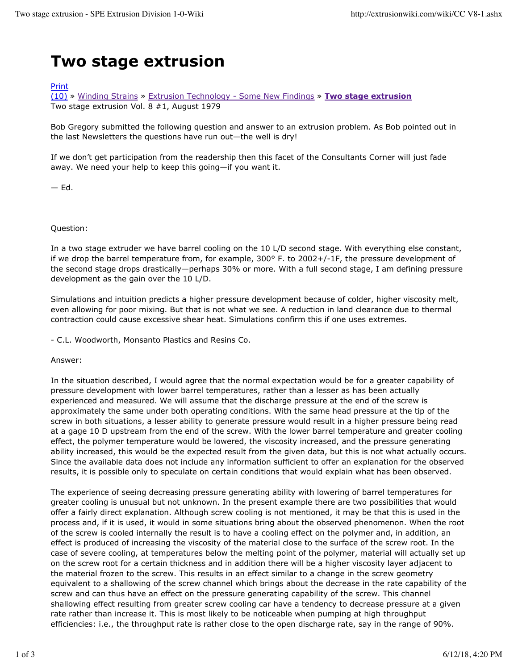## **Two stage extrusion**

## Print

(10) » Winding Strains » Extrusion Technology - Some New Findings » **Two stage extrusion** Two stage extrusion Vol. 8 #1, August 1979

Bob Gregory submitted the following question and answer to an extrusion problem. As Bob pointed out in the last Newsletters the questions have run out—the well is dry!

If we don't get participation from the readership then this facet of the Consultants Corner will just fade away. We need your help to keep this going—if you want it.

 $-$  Ed.

Question:

In a two stage extruder we have barrel cooling on the 10 L/D second stage. With everything else constant, if we drop the barrel temperature from, for example, 300° F. to 2002+/-1F, the pressure development of the second stage drops drastically—perhaps 30% or more. With a full second stage, I am defining pressure development as the gain over the 10 L/D.

Simulations and intuition predicts a higher pressure development because of colder, higher viscosity melt, even allowing for poor mixing. But that is not what we see. A reduction in land clearance due to thermal contraction could cause excessive shear heat. Simulations confirm this if one uses extremes.

- C.L. Woodworth, Monsanto Plastics and Resins Co.

Answer:

In the situation described, I would agree that the normal expectation would be for a greater capability of pressure development with lower barrel temperatures, rather than a lesser as has been actually experienced and measured. We will assume that the discharge pressure at the end of the screw is approximately the same under both operating conditions. With the same head pressure at the tip of the screw in both situations, a lesser ability to generate pressure would result in a higher pressure being read at a gage 10 D upstream from the end of the screw. With the lower barrel temperature and greater cooling effect, the polymer temperature would be lowered, the viscosity increased, and the pressure generating ability increased, this would be the expected result from the given data, but this is not what actually occurs. Since the available data does not include any information sufficient to offer an explanation for the observed results, it is possible only to speculate on certain conditions that would explain what has been observed.

The experience of seeing decreasing pressure generating ability with lowering of barrel temperatures for greater cooling is unusual but not unknown. In the present example there are two possibilities that would offer a fairly direct explanation. Although screw cooling is not mentioned, it may be that this is used in the process and, if it is used, it would in some situations bring about the observed phenomenon. When the root of the screw is cooled internally the result is to have a cooling effect on the polymer and, in addition, an effect is produced of increasing the viscosity of the material close to the surface of the screw root. In the case of severe cooling, at temperatures below the melting point of the polymer, material will actually set up on the screw root for a certain thickness and in addition there will be a higher viscosity layer adjacent to the material frozen to the screw. This results in an effect similar to a change in the screw geometry equivalent to a shallowing of the screw channel which brings about the decrease in the rate capability of the screw and can thus have an effect on the pressure generating capability of the screw. This channel shallowing effect resulting from greater screw cooling car have a tendency to decrease pressure at a given rate rather than increase it. This is most likely to be noticeable when pumping at high throughput efficiencies: i.e., the throughput rate is rather close to the open discharge rate, say in the range of 90%.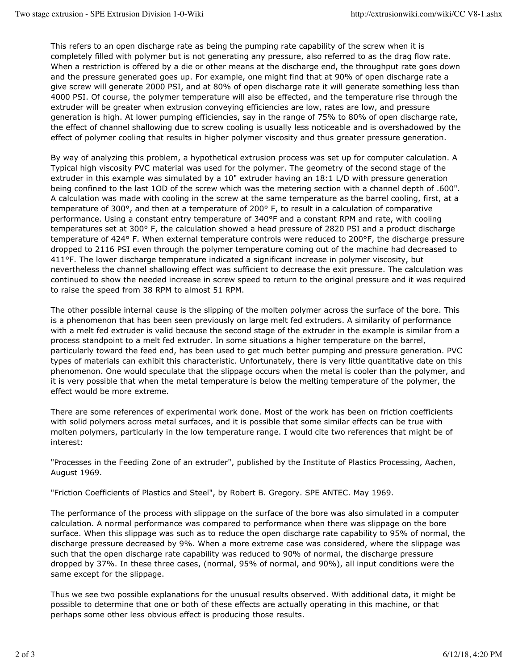This refers to an open discharge rate as being the pumping rate capability of the screw when it is completely filled with polymer but is not generating any pressure, also referred to as the drag flow rate. When a restriction is offered by a die or other means at the discharge end, the throughput rate goes down and the pressure generated goes up. For example, one might find that at 90% of open discharge rate a give screw will generate 2000 PSI, and at 80% of open discharge rate it will generate something less than 4000 PSI. Of course, the polymer temperature will also be effected, and the temperature rise through the extruder will be greater when extrusion conveying efficiencies are low, rates are low, and pressure generation is high. At lower pumping efficiencies, say in the range of 75% to 80% of open discharge rate, the effect of channel shallowing due to screw cooling is usually less noticeable and is overshadowed by the effect of polymer cooling that results in higher polymer viscosity and thus greater pressure generation.

By way of analyzing this problem, a hypothetical extrusion process was set up for computer calculation. A Typical high viscosity PVC material was used for the polymer. The geometry of the second stage of the extruder in this example was simulated by a 10" extruder having an 18:1 L/D with pressure generation being confined to the last 1OD of the screw which was the metering section with a channel depth of .600". A calculation was made with cooling in the screw at the same temperature as the barrel cooling, first, at a temperature of 300°, and then at a temperature of 200° F, to result in a calculation of comparative performance. Using a constant entry temperature of 340°F and a constant RPM and rate, with cooling temperatures set at 300° F, the calculation showed a head pressure of 2820 PSI and a product discharge temperature of 424° F. When external temperature controls were reduced to 200°F, the discharge pressure dropped to 2116 PSI even through the polymer temperature coming out of the machine had decreased to 411°F. The lower discharge temperature indicated a significant increase in polymer viscosity, but nevertheless the channel shallowing effect was sufficient to decrease the exit pressure. The calculation was continued to show the needed increase in screw speed to return to the original pressure and it was required to raise the speed from 38 RPM to almost 51 RPM.

The other possible internal cause is the slipping of the molten polymer across the surface of the bore. This is a phenomenon that has been seen previously on large melt fed extruders. A similarity of performance with a melt fed extruder is valid because the second stage of the extruder in the example is similar from a process standpoint to a melt fed extruder. In some situations a higher temperature on the barrel, particularly toward the feed end, has been used to get much better pumping and pressure generation. PVC types of materials can exhibit this characteristic. Unfortunately, there is very little quantitative date on this phenomenon. One would speculate that the slippage occurs when the metal is cooler than the polymer, and it is very possible that when the metal temperature is below the melting temperature of the polymer, the effect would be more extreme.

There are some references of experimental work done. Most of the work has been on friction coefficients with solid polymers across metal surfaces, and it is possible that some similar effects can be true with molten polymers, particularly in the low temperature range. I would cite two references that might be of interest:

"Processes in the Feeding Zone of an extruder", published by the Institute of Plastics Processing, Aachen, August 1969.

"Friction Coefficients of Plastics and Steel", by Robert B. Gregory. SPE ANTEC. May 1969.

The performance of the process with slippage on the surface of the bore was also simulated in a computer calculation. A normal performance was compared to performance when there was slippage on the bore surface. When this slippage was such as to reduce the open discharge rate capability to 95% of normal, the discharge pressure decreased by 9%. When a more extreme case was considered, where the slippage was such that the open discharge rate capability was reduced to 90% of normal, the discharge pressure dropped by 37%. In these three cases, (normal, 95% of normal, and 90%), all input conditions were the same except for the slippage.

Thus we see two possible explanations for the unusual results observed. With additional data, it might be possible to determine that one or both of these effects are actually operating in this machine, or that perhaps some other less obvious effect is producing those results.